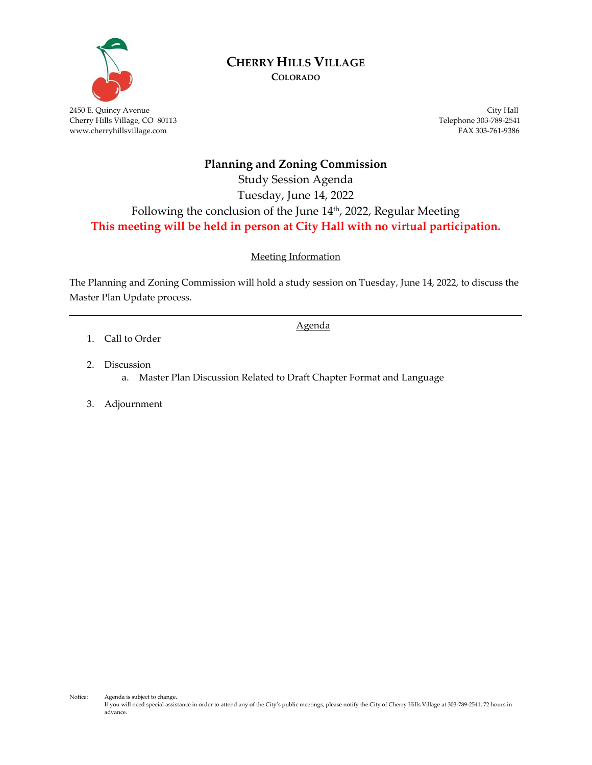

# **CHERRY HILLS VILLAGE**

**COLORADO**

2450 E. Quincy Avenue City Hall Cherry Hills Village, CO 80113 Telephone 303-789-2541 www.cherryhillsvillage.com FAX 303-761-9386

#### **Planning and Zoning Commission**

#### Study Session Agenda Tuesday, June 14, 2022 Following the conclusion of the June 14 th , 2022, Regular Meeting **This meeting will be held in person at City Hall with no virtual participation.**

Meeting Information

The Planning and Zoning Commission will hold a study session on Tuesday, June 14, 2022, to discuss the Master Plan Update process.

Agenda

- 1. Call to Order
- 2. Discussion
	- a. Master Plan Discussion Related to Draft Chapter Format and Language
- 3. Adjournment

Notice: Agenda is subject to change. If you will need special assistance in order to attend any of the City's public meetings, please notify the City of Cherry Hills Village at 303-789-2541, 72 hours in advance.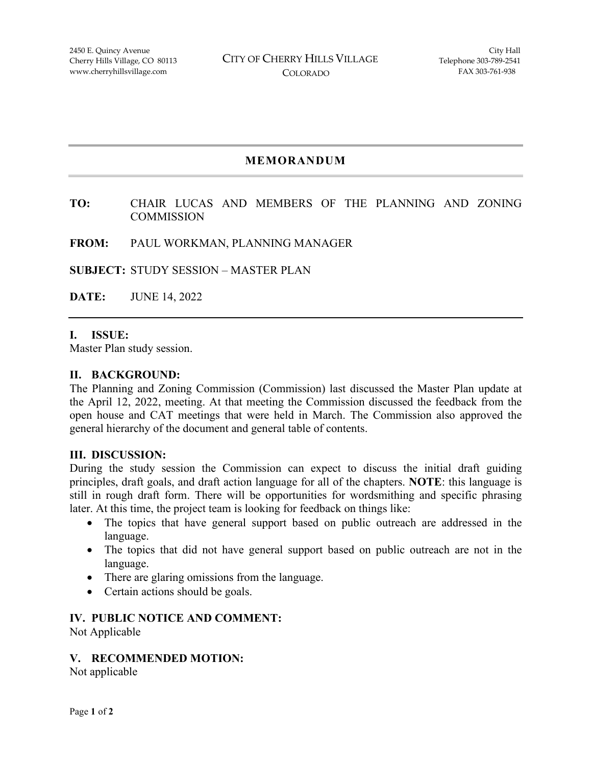#### **MEMORANDUM**

#### **TO:** CHAIR LUCAS AND MEMBERS OF THE PLANNING AND ZONING **COMMISSION**

#### **FROM:** PAUL WORKMAN, PLANNING MANAGER

**SUBJECT:** STUDY SESSION – MASTER PLAN

**DATE:** JUNE 14, 2022

#### **I. ISSUE:**

Master Plan study session.

#### **II. BACKGROUND:**

The Planning and Zoning Commission (Commission) last discussed the Master Plan update at the April 12, 2022, meeting. At that meeting the Commission discussed the feedback from the open house and CAT meetings that were held in March. The Commission also approved the general hierarchy of the document and general table of contents.

#### **III. DISCUSSION:**

During the study session the Commission can expect to discuss the initial draft guiding principles, draft goals, and draft action language for all of the chapters. **NOTE**: this language is still in rough draft form. There will be opportunities for wordsmithing and specific phrasing later. At this time, the project team is looking for feedback on things like:

- The topics that have general support based on public outreach are addressed in the language.
- The topics that did not have general support based on public outreach are not in the language.
- There are glaring omissions from the language.
- Certain actions should be goals.

#### **IV. PUBLIC NOTICE AND COMMENT:**

Not Applicable

#### **V. RECOMMENDED MOTION:**

Not applicable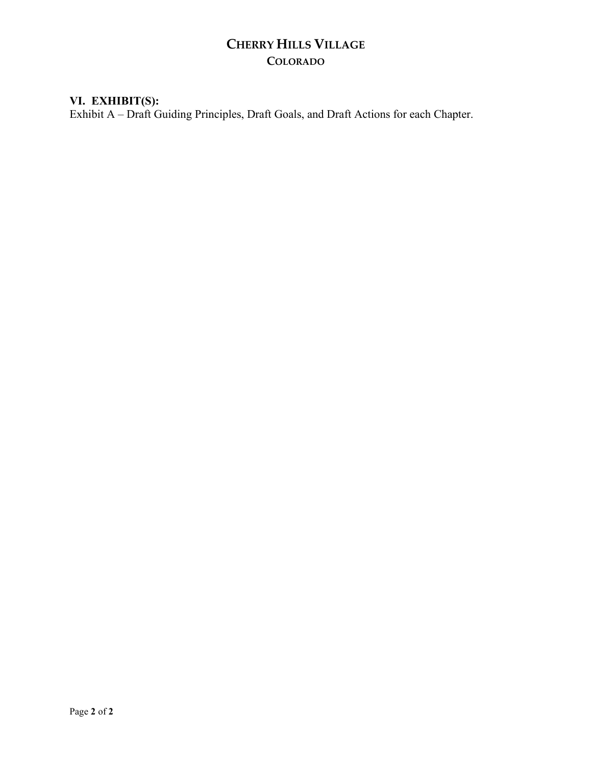## **CHERRY HILLS VILLAGE COLORADO**

#### **VI. EXHIBIT(S):**

Exhibit A – Draft Guiding Principles, Draft Goals, and Draft Actions for each Chapter.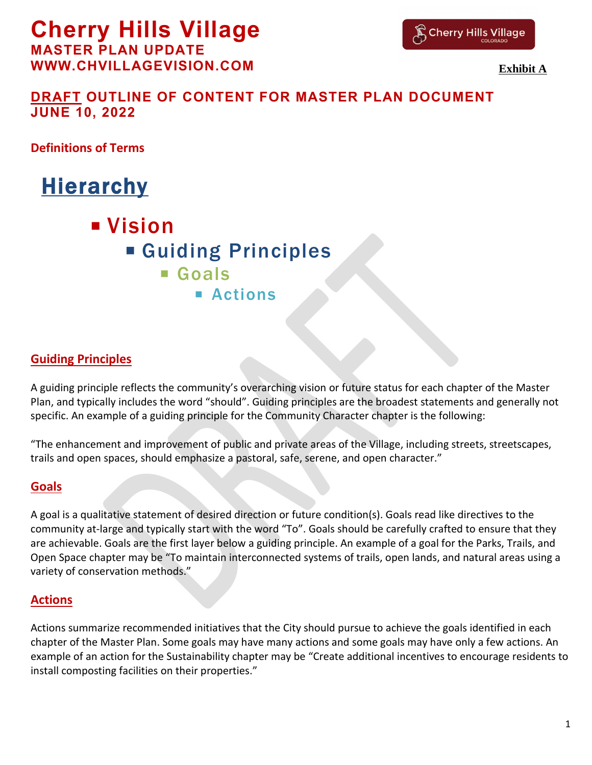# **Cherry Hills Village**

**MASTER PLAN UPDATE WWW.CHVILLAGEVISION.COM**



**Exhibit A**

## **DRAFT OUTLINE OF CONTENT FOR MASTER PLAN DOCUMENT JUNE 10, 2022**

**Definitions of Terms**

# **Hierarchy**

**U** Vision Guiding Principles Goals **Actions** 

## **Guiding Principles**

A guiding principle reflects the community's overarching vision or future status for each chapter of the Master Plan, and typically includes the word "should". Guiding principles are the broadest statements and generally not specific. An example of a guiding principle for the Community Character chapter is the following:

"The enhancement and improvement of public and private areas of the Village, including streets, streetscapes, trails and open spaces, should emphasize a pastoral, safe, serene, and open character."

#### **Goals**

A goal is a qualitative statement of desired direction or future condition(s). Goals read like directives to the community at-large and typically start with the word "To". Goals should be carefully crafted to ensure that they are achievable. Goals are the first layer below a guiding principle. An example of a goal for the Parks, Trails, and Open Space chapter may be "To maintain interconnected systems of trails, open lands, and natural areas using a variety of conservation methods."

## **Actions**

Actions summarize recommended initiatives that the City should pursue to achieve the goals identified in each chapter of the Master Plan. Some goals may have many actions and some goals may have only a few actions. An example of an action for the Sustainability chapter may be "Create additional incentives to encourage residents to install composting facilities on their properties."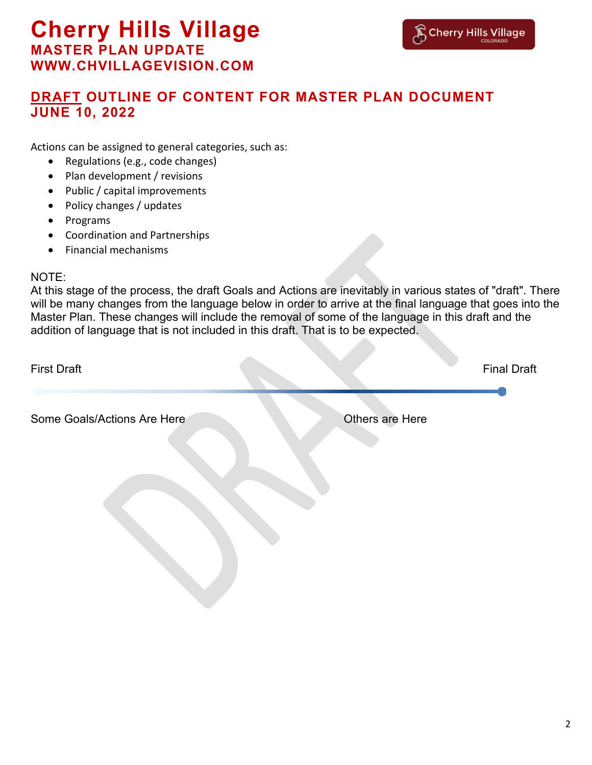Actions can be assigned to general categories, such as:

- Regulations (e.g., code changes)
- Plan development / revisions
- Public / capital improvements
- Policy changes / updates
- Programs
- Coordination and Partnerships
- Financial mechanisms

#### NOTE:

At this stage of the process, the draft Goals and Actions are inevitably in various states of "draft". There will be many changes from the language below in order to arrive at the final language that goes into the Master Plan. These changes will include the removal of some of the language in this draft and the addition of language that is not included in this draft. That is to be expected.

| <b>First Draft</b>          |                 | <b>Final Draft</b> |
|-----------------------------|-----------------|--------------------|
|                             |                 |                    |
| Some Goals/Actions Are Here | Others are Here |                    |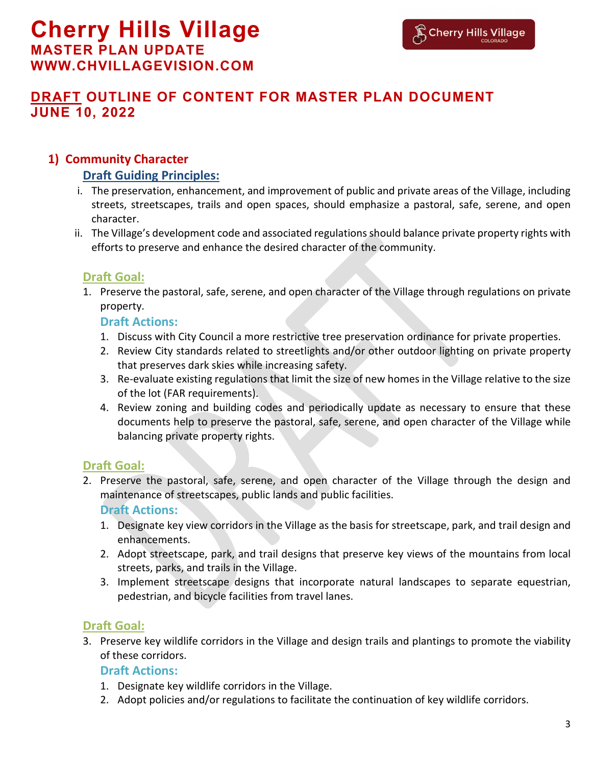#### **1) Community Character**

#### **Draft Guiding Principles:**

- i. The preservation, enhancement, and improvement of public and private areas of the Village, including streets, streetscapes, trails and open spaces, should emphasize a pastoral, safe, serene, and open character.
- ii. The Village's development code and associated regulations should balance private property rights with efforts to preserve and enhance the desired character of the community.

#### **Draft Goal:**

1. Preserve the pastoral, safe, serene, and open character of the Village through regulations on private property.

#### **Draft Actions:**

- 1. Discuss with City Council a more restrictive tree preservation ordinance for private properties.
- 2. Review City standards related to streetlights and/or other outdoor lighting on private property that preserves dark skies while increasing safety.
- 3. Re-evaluate existing regulations that limit the size of new homes in the Village relative to the size of the lot (FAR requirements).
- 4. Review zoning and building codes and periodically update as necessary to ensure that these documents help to preserve the pastoral, safe, serene, and open character of the Village while balancing private property rights.

#### **Draft Goal:**

2. Preserve the pastoral, safe, serene, and open character of the Village through the design and maintenance of streetscapes, public lands and public facilities.

#### **Draft Actions:**

- 1. Designate key view corridors in the Village as the basis for streetscape, park, and trail design and enhancements.
- 2. Adopt streetscape, park, and trail designs that preserve key views of the mountains from local streets, parks, and trails in the Village.
- 3. Implement streetscape designs that incorporate natural landscapes to separate equestrian, pedestrian, and bicycle facilities from travel lanes.

#### **Draft Goal:**

3. Preserve key wildlife corridors in the Village and design trails and plantings to promote the viability of these corridors.

- 1. Designate key wildlife corridors in the Village.
- 2. Adopt policies and/or regulations to facilitate the continuation of key wildlife corridors.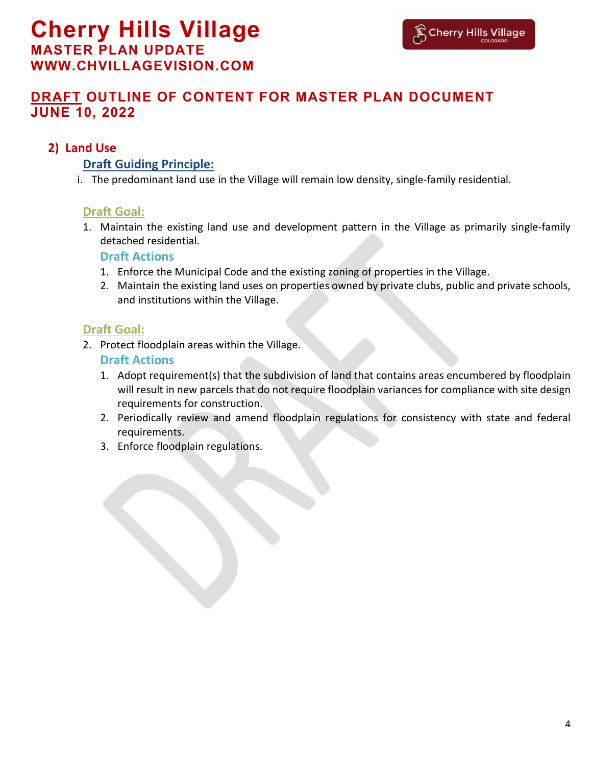## **2) Land Use**

#### **Draft Guiding Principle:**

i. The predominant land use in the Village will remain low density, single-family residential.

#### **Draft Goal:**

1. Maintain the existing land use and development pattern in the Village as primarily single-family detached residential.

#### **Draft Actions**

- 1. Enforce the Municipal Code and the existing zoning of properties in the Village.
- 2. Maintain the existing land uses on properties owned by private clubs, public and private schools, and institutions within the Village.

## **Draft Goal:**

2. Protect floodplain areas within the Village.

- 1. Adopt requirement(s) that the subdivision of land that contains areas encumbered by floodplain will result in new parcels that do not require floodplain variances for compliance with site design requirements for construction.
- 2. Periodically review and amend floodplain regulations for consistency with state and federal requirements.
- 3. Enforce floodplain regulations.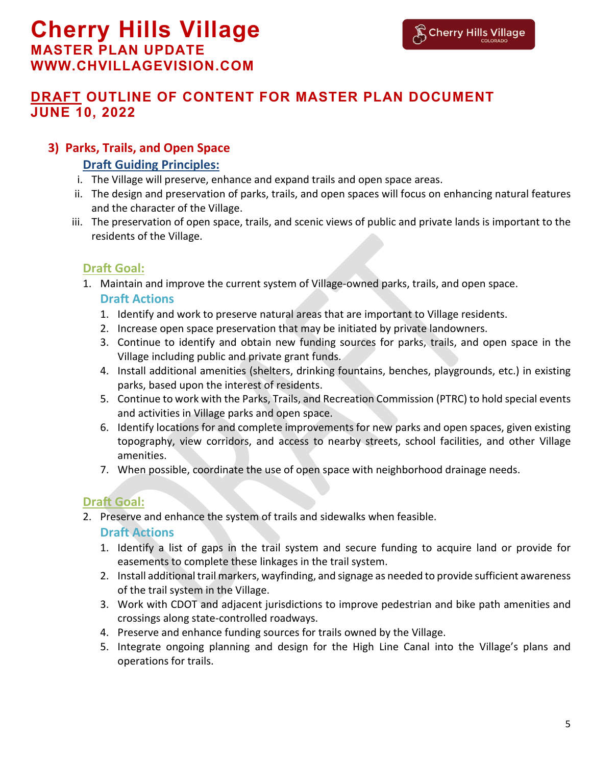## **3) Parks, Trails, and Open Space**

#### **Draft Guiding Principles:**

- i. The Village will preserve, enhance and expand trails and open space areas.
- ii. The design and preservation of parks, trails, and open spaces will focus on enhancing natural features and the character of the Village.
- iii. The preservation of open space, trails, and scenic views of public and private lands is important to the residents of the Village.

#### **Draft Goal:**

1. Maintain and improve the current system of Village-owned parks, trails, and open space.

#### **Draft Actions**

- 1. Identify and work to preserve natural areas that are important to Village residents.
- 2. Increase open space preservation that may be initiated by private landowners.
- 3. Continue to identify and obtain new funding sources for parks, trails, and open space in the Village including public and private grant funds.
- 4. Install additional amenities (shelters, drinking fountains, benches, playgrounds, etc.) in existing parks, based upon the interest of residents.
- 5. Continue to work with the Parks, Trails, and Recreation Commission (PTRC) to hold special events and activities in Village parks and open space.
- 6. Identify locations for and complete improvements for new parks and open spaces, given existing topography, view corridors, and access to nearby streets, school facilities, and other Village amenities.
- 7. When possible, coordinate the use of open space with neighborhood drainage needs.

## **Draft Goal:**

- 2. Preserve and enhance the system of trails and sidewalks when feasible. **Draft Actions**
	- 1. Identify a list of gaps in the trail system and secure funding to acquire land or provide for easements to complete these linkages in the trail system.
	- 2. Install additional trail markers, wayfinding, and signage as needed to provide sufficient awareness of the trail system in the Village.
	- 3. Work with CDOT and adjacent jurisdictions to improve pedestrian and bike path amenities and crossings along state-controlled roadways.
	- 4. Preserve and enhance funding sources for trails owned by the Village.
	- 5. Integrate ongoing planning and design for the High Line Canal into the Village's plans and operations for trails.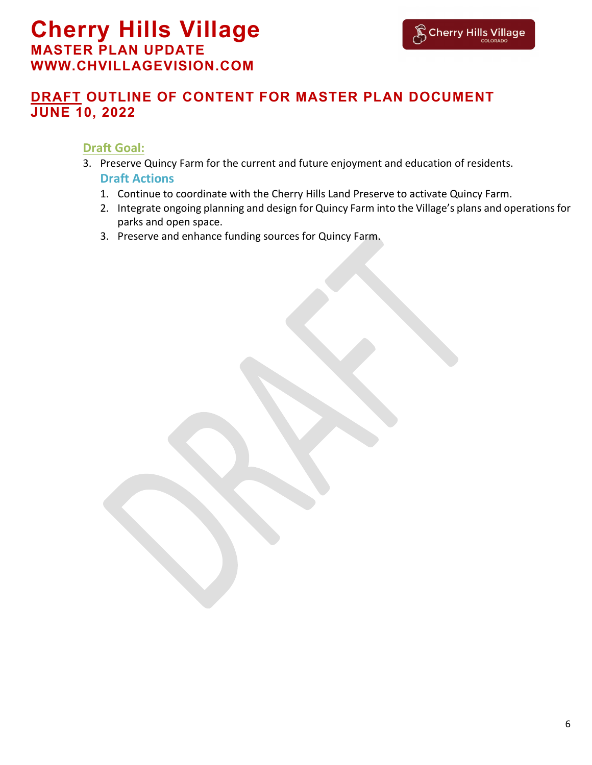#### **Draft Goal:**

- 3. Preserve Quincy Farm for the current and future enjoyment and education of residents. **Draft Actions**
	- 1. Continue to coordinate with the Cherry Hills Land Preserve to activate Quincy Farm.
	- 2. Integrate ongoing planning and design for Quincy Farm into the Village's plans and operations for parks and open space.
	- 3. Preserve and enhance funding sources for Quincy Farm.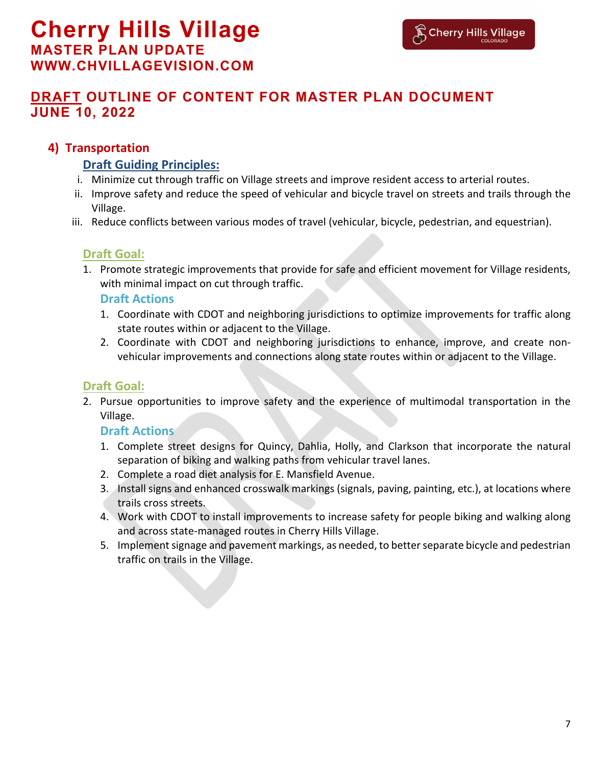#### **4) Transportation**

#### **Draft Guiding Principles:**

- i. Minimize cut through traffic on Village streets and improve resident access to arterial routes.
- ii. Improve safety and reduce the speed of vehicular and bicycle travel on streets and trails through the Village.
- iii. Reduce conflicts between various modes of travel (vehicular, bicycle, pedestrian, and equestrian).

#### **Draft Goal:**

1. Promote strategic improvements that provide for safe and efficient movement for Village residents, with minimal impact on cut through traffic.

#### **Draft Actions**

- 1. Coordinate with CDOT and neighboring jurisdictions to optimize improvements for traffic along state routes within or adjacent to the Village.
- 2. Coordinate with CDOT and neighboring jurisdictions to enhance, improve, and create nonvehicular improvements and connections along state routes within or adjacent to the Village.

#### **Draft Goal:**

2. Pursue opportunities to improve safety and the experience of multimodal transportation in the Village.

- 1. Complete street designs for Quincy, Dahlia, Holly, and Clarkson that incorporate the natural separation of biking and walking paths from vehicular travel lanes.
- 2. Complete a road diet analysis for E. Mansfield Avenue.
- 3. Install signs and enhanced crosswalk markings (signals, paving, painting, etc.), at locations where trails cross streets.
- 4. Work with CDOT to install improvements to increase safety for people biking and walking along and across state-managed routes in Cherry Hills Village.
- 5. Implement signage and pavement markings, as needed, to better separate bicycle and pedestrian traffic on trails in the Village.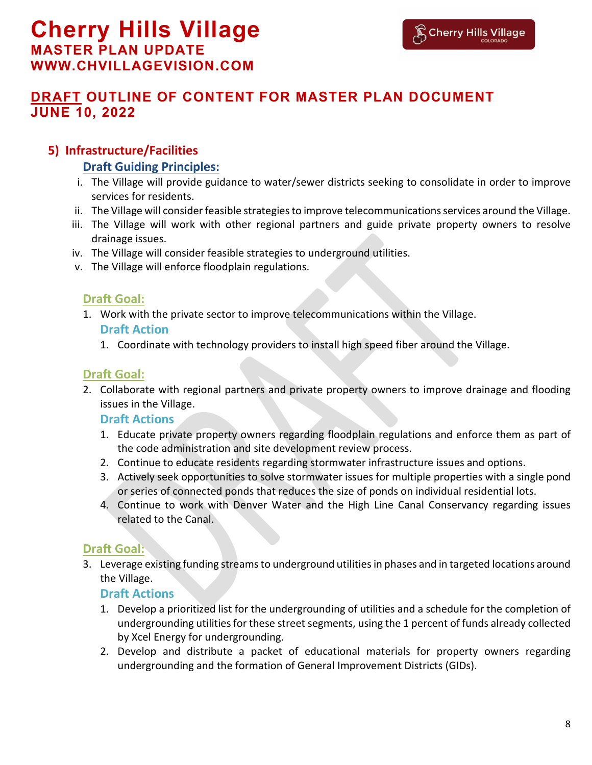#### **5) Infrastructure/Facilities**

#### **Draft Guiding Principles:**

- i. The Village will provide guidance to water/sewer districts seeking to consolidate in order to improve services for residents.
- ii. The Village will consider feasible strategies to improve telecommunications services around the Village.
- iii. The Village will work with other regional partners and guide private property owners to resolve drainage issues.
- iv. The Village will consider feasible strategies to underground utilities.
- v. The Village will enforce floodplain regulations.

#### **Draft Goal:**

1. Work with the private sector to improve telecommunications within the Village.

#### **Draft Action**

1. Coordinate with technology providers to install high speed fiber around the Village.

## **Draft Goal:**

2. Collaborate with regional partners and private property owners to improve drainage and flooding issues in the Village.

#### **Draft Actions**

- 1. Educate private property owners regarding floodplain regulations and enforce them as part of the code administration and site development review process.
- 2. Continue to educate residents regarding stormwater infrastructure issues and options.
- 3. Actively seek opportunities to solve stormwater issues for multiple properties with a single pond or series of connected ponds that reduces the size of ponds on individual residential lots.
- 4. Continue to work with Denver Water and the High Line Canal Conservancy regarding issues related to the Canal.

## **Draft Goal:**

3. Leverage existing funding streams to underground utilities in phases and in targeted locations around the Village.

- 1. Develop a prioritized list for the undergrounding of utilities and a schedule for the completion of undergrounding utilities for these street segments, using the 1 percent of funds already collected by Xcel Energy for undergrounding.
- 2. Develop and distribute a packet of educational materials for property owners regarding undergrounding and the formation of General Improvement Districts (GIDs).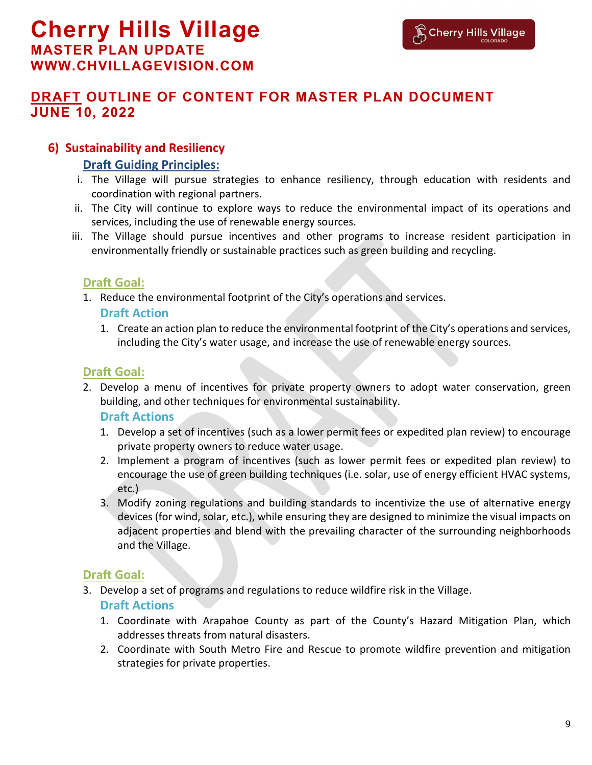#### **6) Sustainability and Resiliency**

#### **Draft Guiding Principles:**

- i. The Village will pursue strategies to enhance resiliency, through education with residents and coordination with regional partners.
- ii. The City will continue to explore ways to reduce the environmental impact of its operations and services, including the use of renewable energy sources.
- iii. The Village should pursue incentives and other programs to increase resident participation in environmentally friendly or sustainable practices such as green building and recycling.

## **Draft Goal:**

1. Reduce the environmental footprint of the City's operations and services.

#### **Draft Action**

1. Create an action plan to reduce the environmental footprint of the City's operations and services, including the City's water usage, and increase the use of renewable energy sources.

## **Draft Goal:**

2. Develop a menu of incentives for private property owners to adopt water conservation, green building, and other techniques for environmental sustainability.

#### **Draft Actions**

- 1. Develop a set of incentives (such as a lower permit fees or expedited plan review) to encourage private property owners to reduce water usage.
- 2. Implement a program of incentives (such as lower permit fees or expedited plan review) to encourage the use of green building techniques (i.e. solar, use of energy efficient HVAC systems, etc.)
- 3. Modify zoning regulations and building standards to incentivize the use of alternative energy devices (for wind, solar, etc.), while ensuring they are designed to minimize the visual impacts on adjacent properties and blend with the prevailing character of the surrounding neighborhoods and the Village.

#### **Draft Goal:**

3. Develop a set of programs and regulations to reduce wildfire risk in the Village.

- 1. Coordinate with Arapahoe County as part of the County's Hazard Mitigation Plan, which addresses threats from natural disasters.
- 2. Coordinate with South Metro Fire and Rescue to promote wildfire prevention and mitigation strategies for private properties.